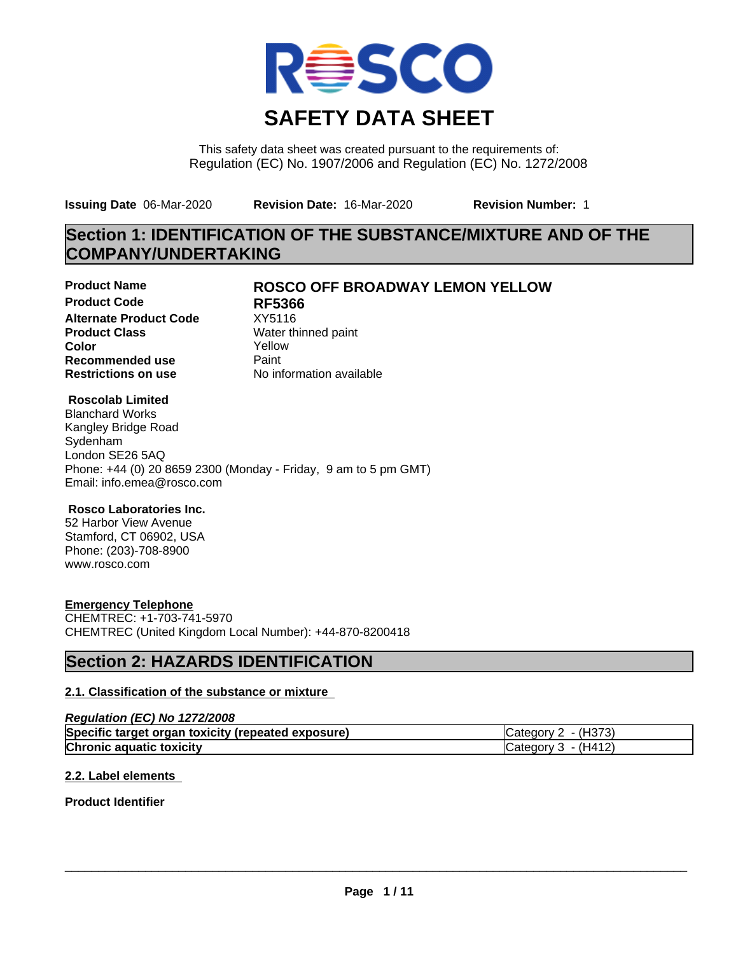

This safety data sheet was created pursuant to the requirements of: Regulation (EC) No. 1907/2006 and Regulation (EC) No. 1272/2008

**Issuing Date** 06-Mar-2020 **Revision Date:** 16-Mar-2020 **Revision Number:** 1

# **Section 1: IDENTIFICATION OF THE SUBSTANCE/MIXTURE AND OF THE COMPANY/UNDERTAKING**

**Product Code RF5366 Alternate Product Code** XY5116<br> **Product Class** Water th **Product Class** Water thinned paint<br> **Color** Yellow **Color** Yellow **Recommended use** Paint<br> **Restrictions on use** Mo information available **Restrictions on use** 

## **Product Name ROSCO OFF BROADWAY LEMON YELLOW**

### **Roscolab Limited**

Blanchard Works Kangley Bridge Road Sydenham London SE26 5AQ Phone: +44 (0) 20 8659 2300 (Monday - Friday, 9 am to 5 pm GMT) Email: info.emea@rosco.com

### **Rosco Laboratories Inc.**

52 Harbor View Avenue Stamford, CT 06902, USA Phone: (203)-708-8900 www.rosco.com

### **Emergency Telephone**

CHEMTREC: +1-703-741-5970 CHEMTREC (United Kingdom Local Number): +44-870-8200418

## **Section 2: HAZARDS IDENTIFICATION**

### **2.1. Classification of the substance or mixture**

#### *Regulation (EC) No 1272/2008*

| Specific target organ toxicity (repeated exposure) | Category $2 - (H373)$ |
|----------------------------------------------------|-----------------------|
| <b>Chronic aquatic toxicity</b>                    | Category $3 - (H412)$ |

#### **2.2. Label elements**

### **Product Identifier**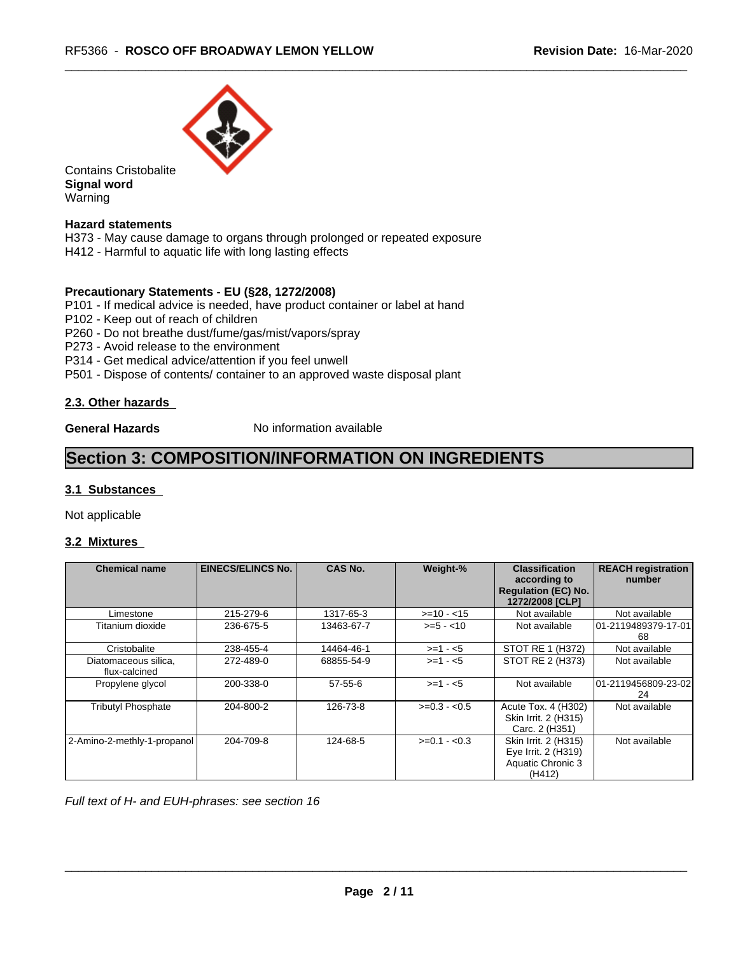

Contains Cristobalite **Signal word** Warning

### **Hazard statements**

H373 - May cause damage to organs through prolonged or repeated exposure H412 - Harmful to aquatic life with long lasting effects

#### **Precautionary Statements - EU (§28, 1272/2008)**

P101 - If medical advice is needed, have product container or label at hand

P102 - Keep out of reach of children

P260 - Do not breathe dust/fume/gas/mist/vapors/spray

P273 - Avoid release to the environment

P314 - Get medical advice/attention if you feel unwell

P501 - Dispose of contents/ container to an approved waste disposal plant

#### **2.3. Other hazards**

**General Hazards** No information available

## **Section 3: COMPOSITION/INFORMATION ON INGREDIENTS**

#### **3.1 Substances**

Not applicable

#### **3.2 Mixtures**

| <b>Chemical name</b>                  | <b>EINECS/ELINCS No.</b> | <b>CAS No.</b> | Weight-%      | <b>Classification</b><br>according to<br><b>Regulation (EC) No.</b><br>1272/2008 [CLP] | <b>REACH registration</b><br>number |
|---------------------------------------|--------------------------|----------------|---------------|----------------------------------------------------------------------------------------|-------------------------------------|
| Limestone                             | 215-279-6                | 1317-65-3      | $>=10 - 15$   | Not available                                                                          | Not available                       |
| Titanium dioxide                      | 236-675-5                | 13463-67-7     | $>= 5 - 10$   | Not available                                                                          | 101-2119489379-17-01<br>68          |
| Cristobalite                          | 238-455-4                | 14464-46-1     | $>=1 - 5$     | STOT RE 1 (H372)                                                                       | Not available                       |
| Diatomaceous silica,<br>flux-calcined | 272-489-0                | 68855-54-9     | $>= 1 - 5$    | STOT RE 2 (H373)                                                                       | Not available                       |
| Propylene glycol                      | 200-338-0                | $57 - 55 - 6$  | $>=1 - 5$     | Not available                                                                          | 101-2119456809-23-02<br>24          |
| <b>Tributyl Phosphate</b>             | 204-800-2                | 126-73-8       | $>=0.3 - 0.5$ | Acute Tox. 4 (H302)<br>Skin Irrit. 2 (H315)<br>Carc. 2 (H351)                          | Not available                       |
| 2-Amino-2-methly-1-propanol           | 204-709-8                | 124-68-5       | $>=0.1 - 0.3$ | Skin Irrit. 2 (H315)<br>Eye Irrit. 2 (H319)<br>Aquatic Chronic 3<br>(H412)             | Not available                       |

*Full text of H- and EUH-phrases: see section 16*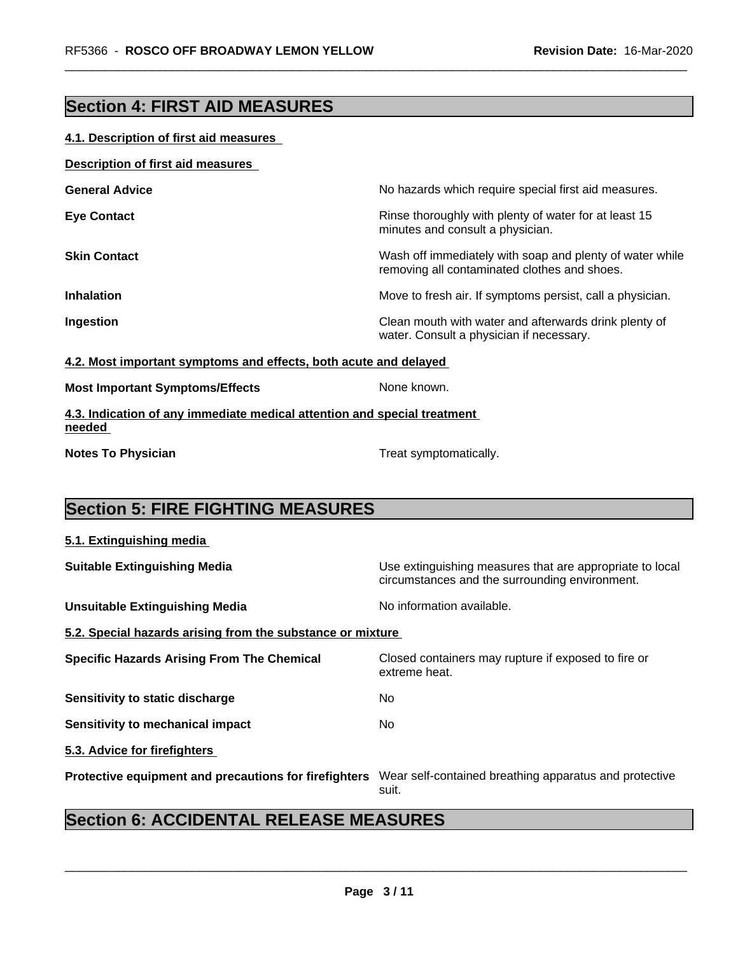# **Section 4: FIRST AID MEASURES**

### **4.1. Description of first aid measures**

| Description of first aid measures |
|-----------------------------------|
|-----------------------------------|

| <b>General Advice</b> | No hazards which require special first aid measures.                                                     |
|-----------------------|----------------------------------------------------------------------------------------------------------|
| <b>Eye Contact</b>    | Rinse thoroughly with plenty of water for at least 15<br>minutes and consult a physician.                |
| <b>Skin Contact</b>   | Wash off immediately with soap and plenty of water while<br>removing all contaminated clothes and shoes. |
| <b>Inhalation</b>     | Move to fresh air. If symptoms persist, call a physician.                                                |
| Ingestion             | Clean mouth with water and afterwards drink plenty of<br>water. Consult a physician if necessary.        |

#### **4.2. Most important symptoms and effects, both acute and delayed**

| None known. |
|-------------|
|             |

**4.3. Indication of any immediate medical attention and special treatment needed** 

**Notes To Physician Treat symptomatically.** 

# **Section 5: FIRE FIGHTING MEASURES**

| 5.1. Extinguishing media                                   |                                                                                                            |
|------------------------------------------------------------|------------------------------------------------------------------------------------------------------------|
| <b>Suitable Extinguishing Media</b>                        | Use extinguishing measures that are appropriate to local<br>circumstances and the surrounding environment. |
| <b>Unsuitable Extinguishing Media</b>                      | No information available.                                                                                  |
| 5.2. Special hazards arising from the substance or mixture |                                                                                                            |
| <b>Specific Hazards Arising From The Chemical</b>          | Closed containers may rupture if exposed to fire or<br>extreme heat.                                       |
| Sensitivity to static discharge                            | No.                                                                                                        |
| <b>Sensitivity to mechanical impact</b>                    | No.                                                                                                        |
| 5.3. Advice for firefighters                               |                                                                                                            |
| Protective equipment and precautions for firefighters      | Wear self-contained breathing apparatus and protective<br>suit.                                            |

# **Section 6: ACCIDENTAL RELEASE MEASURES**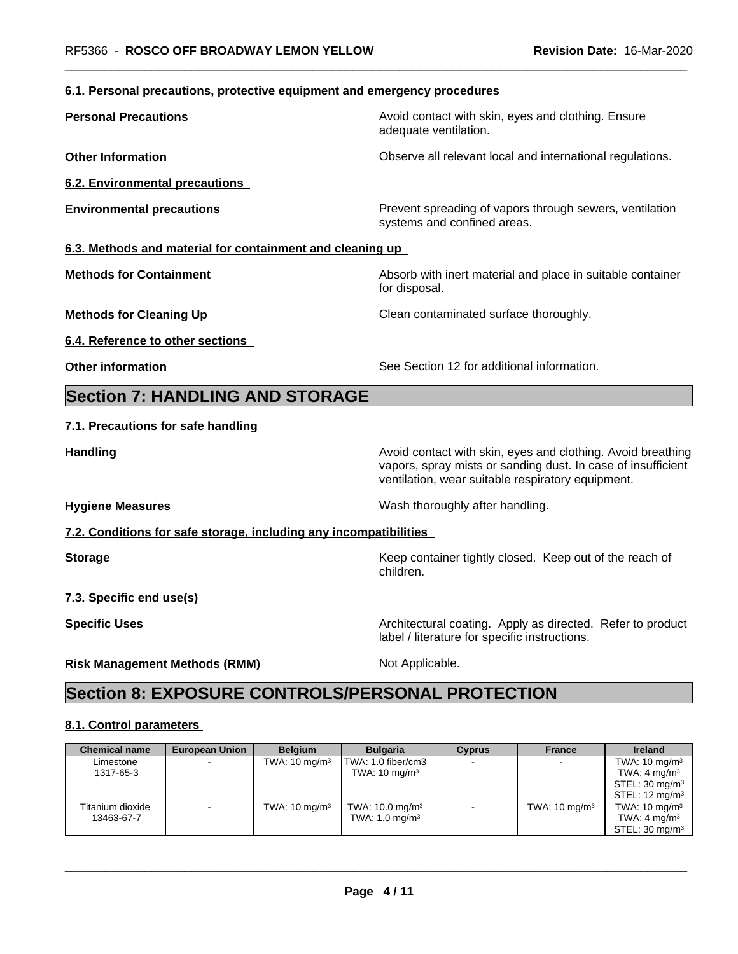## **6.1. Personal precautions, protective equipment and emergency procedures**

| <b>Personal Precautions</b>                                       | Avoid contact with skin, eyes and clothing. Ensure<br>adequate ventilation.                                                                                                      |
|-------------------------------------------------------------------|----------------------------------------------------------------------------------------------------------------------------------------------------------------------------------|
| <b>Other Information</b>                                          | Observe all relevant local and international regulations.                                                                                                                        |
| <b>6.2. Environmental precautions</b>                             |                                                                                                                                                                                  |
| <b>Environmental precautions</b>                                  | Prevent spreading of vapors through sewers, ventilation<br>systems and confined areas.                                                                                           |
| 6.3. Methods and material for containment and cleaning up         |                                                                                                                                                                                  |
| <b>Methods for Containment</b>                                    | Absorb with inert material and place in suitable container<br>for disposal.                                                                                                      |
| <b>Methods for Cleaning Up</b>                                    | Clean contaminated surface thoroughly.                                                                                                                                           |
| 6.4. Reference to other sections                                  |                                                                                                                                                                                  |
| <b>Other information</b>                                          | See Section 12 for additional information.                                                                                                                                       |
| <b>Section 7: HANDLING AND STORAGE</b>                            |                                                                                                                                                                                  |
| 7.1. Precautions for safe handling                                |                                                                                                                                                                                  |
| <b>Handling</b>                                                   | Avoid contact with skin, eyes and clothing. Avoid breathing<br>vapors, spray mists or sanding dust. In case of insufficient<br>ventilation, wear suitable respiratory equipment. |
| <b>Hygiene Measures</b>                                           | Wash thoroughly after handling.                                                                                                                                                  |
| 7.2. Conditions for safe storage, including any incompatibilities |                                                                                                                                                                                  |
| <b>Storage</b>                                                    | Keep container tightly closed. Keep out of the reach of<br>children.                                                                                                             |
| 7.3. Specific end use(s)                                          |                                                                                                                                                                                  |
| <b>Specific Uses</b>                                              | Architectural coating. Apply as directed. Refer to product<br>label / literature for specific instructions.                                                                      |
| <b>Risk Management Methods (RMM)</b>                              | Not Applicable.                                                                                                                                                                  |
| <b>Section 8: EXPOSURE CONTROLS/PERSONAL PROTECTION</b>           |                                                                                                                                                                                  |
|                                                                   |                                                                                                                                                                                  |

## **8.1. Control parameters**

| <b>Chemical name</b> | European Union | <b>Belaium</b>           | <b>Bulgaria</b>               | <b>Cyprus</b> | <b>France</b>            | <b>Ireland</b>             |
|----------------------|----------------|--------------------------|-------------------------------|---------------|--------------------------|----------------------------|
| Limestone            |                | TWA: $10 \text{ mg/m}^3$ | TWA: 1.0 fiber/cm3            |               | $\blacksquare$           | TWA: $10 \text{ mg/m}^3$   |
| 1317-65-3            |                |                          | TWA: $10 \text{ mg/m}^3$      |               |                          | TWA: $4 \text{ mg/m}^3$    |
|                      |                |                          |                               |               |                          | STEL: 30 mg/m <sup>3</sup> |
|                      |                |                          |                               |               |                          | STEL: $12 \text{ mg/m}^3$  |
| Titanium dioxide     |                | TWA: $10 \text{ mg/m}^3$ | TWA: $10.0$ mg/m <sup>3</sup> |               | TWA: $10 \text{ mg/m}^3$ | TWA: $10 \text{ mg/m}^3$   |
| 13463-67-7           |                |                          | TWA: $1.0 \text{ mg/m}^3$     |               |                          | TWA: $4 \text{ mg/m}^3$    |
|                      |                |                          |                               |               |                          | STEL: 30 mg/m <sup>3</sup> |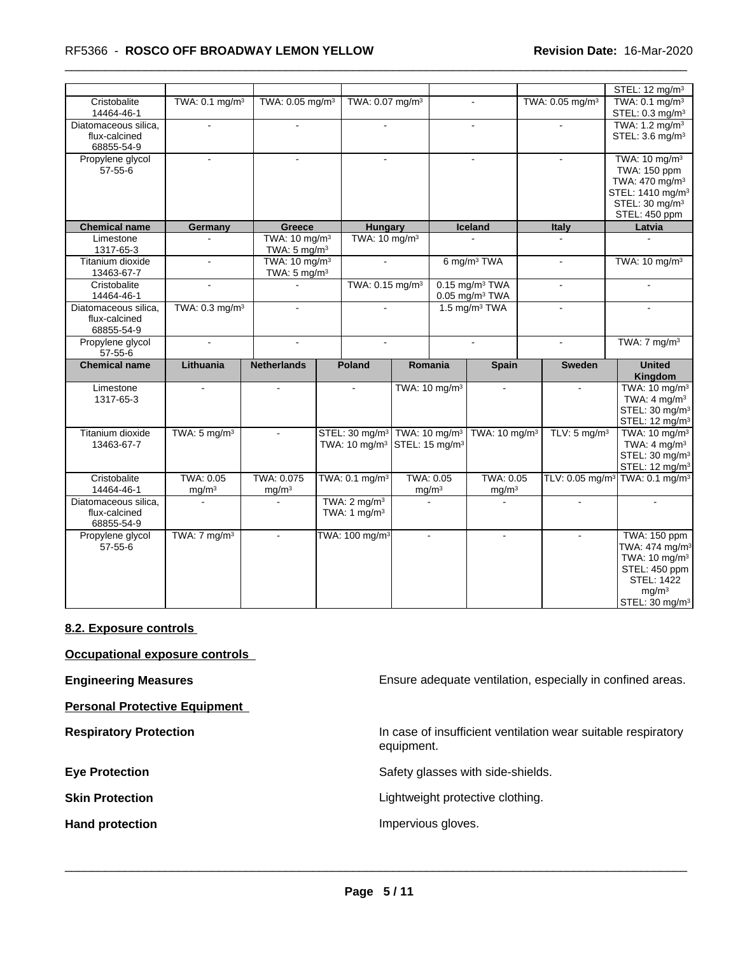|                                                     |                                |                                                      |  |                                                         |                                                         |                           |                                                              |  |                               | STEL: 12 mg/m <sup>3</sup>                                                                                                                                       |  |                                                                                                                                                       |
|-----------------------------------------------------|--------------------------------|------------------------------------------------------|--|---------------------------------------------------------|---------------------------------------------------------|---------------------------|--------------------------------------------------------------|--|-------------------------------|------------------------------------------------------------------------------------------------------------------------------------------------------------------|--|-------------------------------------------------------------------------------------------------------------------------------------------------------|
| Cristobalite<br>14464-46-1                          | TWA: 0.1 mg/m <sup>3</sup>     | TWA: 0.05 mg/m <sup>3</sup>                          |  | TWA: 0.07 mg/m <sup>3</sup>                             |                                                         |                           |                                                              |  | TWA: 0.05 mg/m <sup>3</sup>   | TWA: 0.1 mg/m <sup>3</sup><br>STEL: 0.3 mg/m <sup>3</sup>                                                                                                        |  |                                                                                                                                                       |
| Diatomaceous silica,<br>flux-calcined<br>68855-54-9 | $\sim$                         | $\sim$                                               |  | $\sim$                                                  |                                                         |                           | $\sim$                                                       |  | $\sim$                        | TWA: 1.2 mg/m <sup>3</sup><br>STEL: 3.6 mg/m <sup>3</sup>                                                                                                        |  |                                                                                                                                                       |
| Propylene glycol<br>$57 - 55 - 6$                   |                                |                                                      |  |                                                         |                                                         |                           |                                                              |  |                               |                                                                                                                                                                  |  | TWA: 10 mg/m <sup>3</sup><br>TWA: 150 ppm<br>TWA: 470 mg/m <sup>3</sup><br>STEL: 1410 mg/m <sup>3</sup><br>STEL: $30 \text{ mg/m}^3$<br>STEL: 450 ppm |
| <b>Chemical name</b>                                | Germany                        | Greece                                               |  | Hungary                                                 |                                                         |                           | Iceland                                                      |  | Italy                         | Latvia                                                                                                                                                           |  |                                                                                                                                                       |
| Limestone<br>1317-65-3                              |                                | TWA: 10 mg/m <sup>3</sup><br>TWA: $5 \text{ mg/m}^3$ |  | TWA: 10 mg/m <sup>3</sup>                               |                                                         |                           |                                                              |  |                               | $\sim$                                                                                                                                                           |  |                                                                                                                                                       |
| Titanium dioxide<br>13463-67-7                      | $\mathcal{L}_{\mathcal{A}}$    | TWA: 10 mg/m <sup>3</sup><br>TWA: $5 \text{ mg/m}^3$ |  |                                                         | $\sim$                                                  |                           | 6 mg/m <sup>3</sup> TWA                                      |  | $\sim$                        | TWA: 10 mg/m <sup>3</sup>                                                                                                                                        |  |                                                                                                                                                       |
| Cristobalite<br>14464-46-1                          | $\overline{a}$                 |                                                      |  |                                                         | TWA: 0.15 mg/m <sup>3</sup>                             |                           | $0.15$ mg/m <sup>3</sup> TWA<br>$0.05$ mg/m <sup>3</sup> TWA |  | $\mathbf{r}$                  | $\overline{a}$                                                                                                                                                   |  |                                                                                                                                                       |
| Diatomaceous silica,<br>flux-calcined<br>68855-54-9 | TWA: 0.3 mg/m <sup>3</sup>     | $\blacksquare$                                       |  | $\sim$                                                  |                                                         |                           | 1.5 mg/m $3$ TWA                                             |  |                               |                                                                                                                                                                  |  |                                                                                                                                                       |
| Propylene glycol<br>$57 - 55 - 6$                   | $\sim$                         | $\sim$                                               |  |                                                         |                                                         |                           | $\overline{\phantom{a}}$                                     |  | $\blacksquare$                | TWA: $7 \text{ mg/m}^3$                                                                                                                                          |  |                                                                                                                                                       |
| <b>Chemical name</b>                                | Lithuania                      | <b>Netherlands</b>                                   |  | <b>Poland</b>                                           |                                                         | Romania                   | <b>Spain</b>                                                 |  | <b>Sweden</b>                 | <b>United</b><br><b>Kingdom</b>                                                                                                                                  |  |                                                                                                                                                       |
| Limestone<br>1317-65-3                              | $\sim$                         | $\sim$                                               |  | $\sim$                                                  |                                                         | TWA: 10 mg/m <sup>3</sup> | $\mathbf{r}$                                                 |  | $\mathbf{r}$                  | TWA: 10 mg/m <sup>3</sup><br>TWA: $4 \text{ mg/m}^3$<br>STEL: 30 mg/m <sup>3</sup><br>STEL: 12 mg/m <sup>3</sup>                                                 |  |                                                                                                                                                       |
| Titanium dioxide<br>13463-67-7                      | TWA: $5 \text{ mg/m}^3$        |                                                      |  | STEL: 30 mg/m <sup>3</sup><br>TWA: 10 mg/m <sup>3</sup> | TWA: 10 mg/m <sup>3</sup><br>STEL: 15 mg/m <sup>3</sup> |                           | TWA: 10 mg/m <sup>3</sup>                                    |  | TLV: $5 \text{ mg/m}^3$       | TWA: 10 mg/m <sup>3</sup><br>TWA: $4 \text{ mg/m}^3$<br>STEL: 30 mg/m <sup>3</sup><br>STEL: 12 mg/m <sup>3</sup>                                                 |  |                                                                                                                                                       |
| Cristobalite<br>14464-46-1                          | TWA: 0.05<br>mg/m <sup>3</sup> | TWA: 0.075<br>mg/m <sup>3</sup>                      |  | TWA: 0.1 mg/m <sup>3</sup>                              | TWA: 0.05<br>mg/m <sup>3</sup>                          |                           | TWA: 0.05<br>mg/m <sup>3</sup>                               |  | TLV: $0.05$ mg/m <sup>3</sup> | TWA: 0.1 mg/m <sup>3</sup>                                                                                                                                       |  |                                                                                                                                                       |
| Diatomaceous silica,<br>flux-calcined<br>68855-54-9 |                                |                                                      |  | TWA: $2 \text{ mg/m}^3$<br>TWA: $1 \text{ mg/m}^3$      |                                                         |                           |                                                              |  |                               |                                                                                                                                                                  |  |                                                                                                                                                       |
| Propylene glycol<br>$57 - 55 - 6$                   | TWA: $7 \text{ mg/m}^3$        | $\mathbf{r}$                                         |  | TWA: 100 mg/m <sup>3</sup>                              |                                                         | $\sim$                    | $\sim$                                                       |  | $\sim$                        | TWA: 150 ppm<br>TWA: 474 mg/m <sup>3</sup><br>TWA: 10 mg/m <sup>3</sup><br>STEL: 450 ppm<br><b>STEL: 1422</b><br>mg/m <sup>3</sup><br>STEL: 30 mg/m <sup>3</sup> |  |                                                                                                                                                       |

#### **8.2. Exposure controls**

**Occupational exposure controls**

**Personal Protective Equipment**

**Engineering Measures Ensure 2008** Ensure adequate ventilation, especially in confined areas.

**Respiratory Protection In case of insufficient ventilation wear suitable respiratory** equipment.

**Eye Protection** Safety glasses with side-shields.

**Skin Protection Skin Protection Lightweight protective clothing.** 

Hand protection **Impervious gloves**.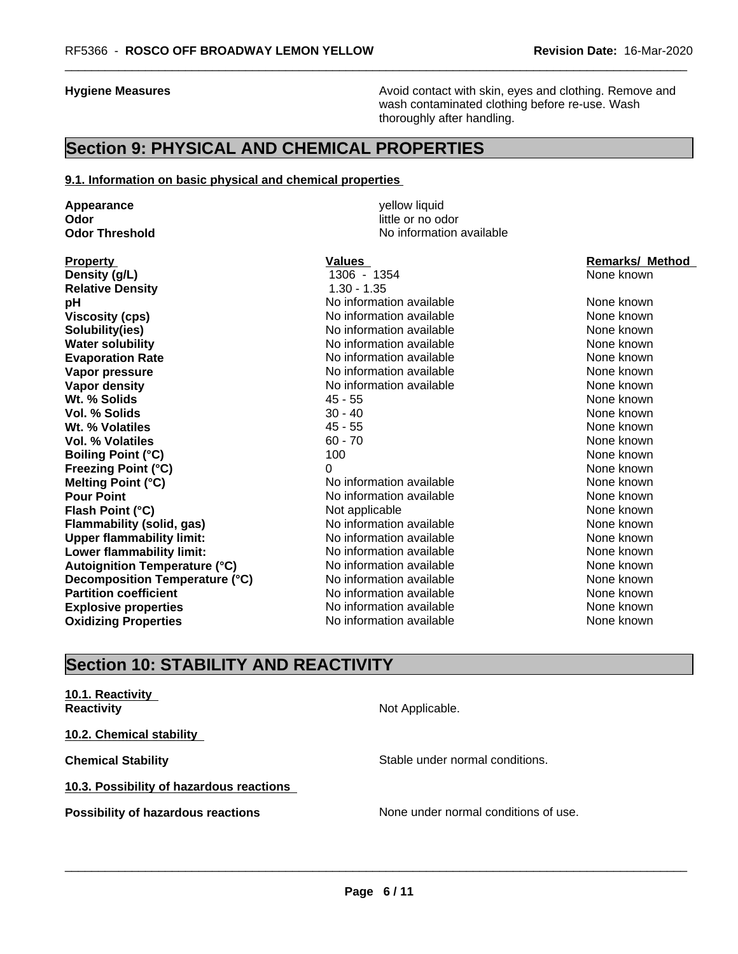**Hygiene Measures Avoid contact with skin, eyes and clothing. Remove and Avoid contact with skin, eyes and clothing. Remove and Avoid contact with skin, eyes and clothing. Remove and** wash contaminated clothing before re-use. Wash thoroughly after handling.

## **Section 9: PHYSICAL AND CHEMICAL PROPERTIES**

#### **9.1. Information on basic physical and chemical properties**

**Appearance** yellow liquid **Odor** little or no odor<br> **Odor Threshold Codor Integrated Codor Codor Integrated Codor Codor Codor Codor Codor Codor Codor Codor Codor Codor Codor Codor Codor Codor Co** 

**Density (g/L)** 1306 - 1354 None known **Relative Density** 1.30 - 1.35 **pH has a** No information available **None known**<br>
No information available **None known**<br>
None known **Solubility(ies)** No information available None known None known **Water solubility Notify Allen available Mater Solubility None known None known Evaporation Rate Notify Algebra 2012 M** No information available **None known** None known **Vapor pressure** No information available None known None known **Vapor density** Noting Management Mone has a None known None known None known None known None known **Wt. % Solids** and the set of the set of the 45 - 55 None known and the set of the set of the set of the set of the set of the set of the set of the set of the set of the set of the set of the set of the set of the set of **Vol. % Solids** 30 - 40 None known **Wt. % Volatiles All and Solution Contract All and All and All and All and All and All and All and All and All and All and All and All and All and All and All and All and All and All and All and All and All and All and A Vol. % Volatiles** 60 - 70 None known None known **Boiling Point (°C)** 100 100 None known **Freezing Point (°C)** 0 None known **Melting Point (°C)** Noinformation available None known **Pour Point** No information available None known None known **Flash Point (°C)** Not applicable Not applicable None known **Flammability (solid, gas)** No information available None Known None known **Upper flammability limit:** No information available None Known None known **Lower flammability limit:** No information available None known None known **Autoignition Temperature (°C)** No information available None Known None known **Decomposition Temperature (°C)** No information available None None known **Partition coefficient No information available None known** None known **Explosive properties** Note 2012 **No information available** None known **Oxidizing Properties No information available** None known

**No information available** 

**Viscosity (Viscosity Cone in the internation available None known None known** 

**Property Construction Construction Construction Values According Construction Construction Construction Construction Construction Construction Construction Construction Construction Construction Construction Construction** 

# **Section 10: STABILITY AND REACTIVITY**

# **10.1. Reactivity**

**10.2. Chemical stability**

**10.3. Possibility of hazardous reactions**

**Reactivity Not Applicable. Not Applicable.** 

**Chemical Stability Stable under normal conditions.** Stable under normal conditions.

 $\overline{\phantom{a}}$  ,  $\overline{\phantom{a}}$  ,  $\overline{\phantom{a}}$  ,  $\overline{\phantom{a}}$  ,  $\overline{\phantom{a}}$  ,  $\overline{\phantom{a}}$  ,  $\overline{\phantom{a}}$  ,  $\overline{\phantom{a}}$  ,  $\overline{\phantom{a}}$  ,  $\overline{\phantom{a}}$  ,  $\overline{\phantom{a}}$  ,  $\overline{\phantom{a}}$  ,  $\overline{\phantom{a}}$  ,  $\overline{\phantom{a}}$  ,  $\overline{\phantom{a}}$  ,  $\overline{\phantom{a}}$ 

**Possibility of hazardous reactions** None under normal conditions of use.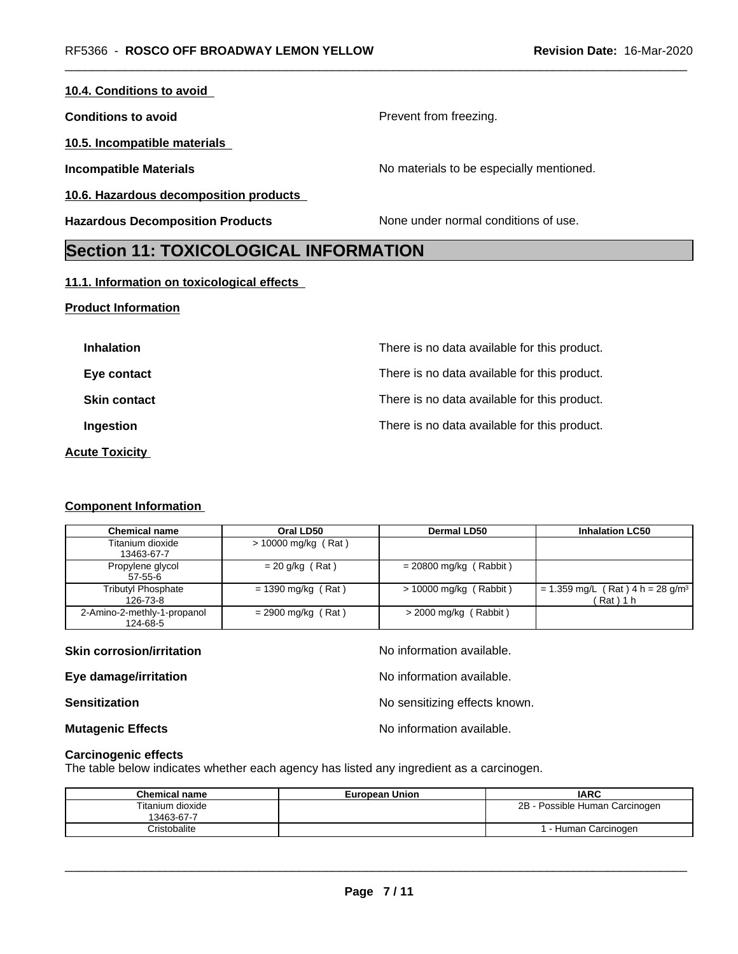| <b>Section 11: TOYICOLOGICAL INFORMATION</b> |                                          |
|----------------------------------------------|------------------------------------------|
| <b>Hazardous Decomposition Products</b>      | None under normal conditions of use.     |
| 10.6. Hazardous decomposition products       |                                          |
| <b>Incompatible Materials</b>                | No materials to be especially mentioned. |
| 10.5. Incompatible materials                 |                                          |
| <b>Conditions to avoid</b>                   | Prevent from freezing.                   |
| 10.4. Conditions to avoid                    |                                          |

## **Section 11: TOXICOLOGICAL INFORMATION**

### **11.1. Information on toxicological effects**

### **Product Information**

| <b>Inhalation</b>     | There is no data available for this product. |
|-----------------------|----------------------------------------------|
| Eye contact           | There is no data available for this product. |
| <b>Skin contact</b>   | There is no data available for this product. |
| Ingestion             | There is no data available for this product. |
| <b>Acute Toxicity</b> |                                              |

#### **Component Information**

| <b>Chemical name</b>                    | Oral LD50             | <b>Dermal LD50</b>       | <b>Inhalation LC50</b>                                   |
|-----------------------------------------|-----------------------|--------------------------|----------------------------------------------------------|
| Titanium dioxide<br>13463-67-7          | $> 10000$ mg/kg (Rat) |                          |                                                          |
| Propylene glycol<br>57-55-6             | $= 20$ g/kg (Rat)     | $= 20800$ mg/kg (Rabbit) |                                                          |
| Tributyl Phosphate<br>126-73-8          | $= 1390$ mg/kg (Rat)  | $> 10000$ mg/kg (Rabbit) | = 1.359 mg/L (Rat) 4 h = 28 g/m <sup>3</sup><br>(Rat)1 h |
| 2-Amino-2-methly-1-propanol<br>124-68-5 | $= 2900$ mg/kg (Rat)  | $>$ 2000 mg/kg (Rabbit)  |                                                          |

| <b>Skin corrosion/irritation</b> | No information available.     |
|----------------------------------|-------------------------------|
| Eye damage/irritation            | No information available.     |
| <b>Sensitization</b>             | No sensitizing effects known. |
| <b>Mutagenic Effects</b>         | No information available.     |

#### **Carcinogenic effects**

The table below indicates whether each agency has listed any ingredient as a carcinogen.

| <b>Chemical name</b>           | <b>European Union</b> | <b>IARC</b>                    |
|--------------------------------|-----------------------|--------------------------------|
| Titanium dioxide<br>13463-67-7 |                       | 2B - Possible Human Carcinogen |
| Cristobalite                   |                       | - Human Carcinogen             |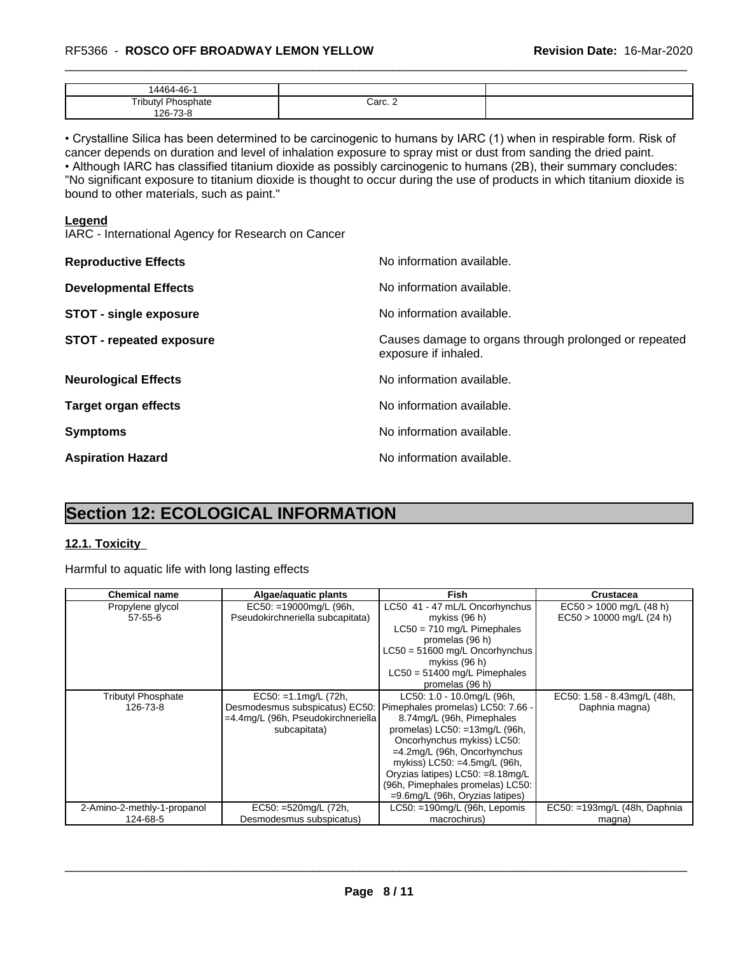| AC<br>$\Lambda$ A $\alpha$                                                             |         |  |
|----------------------------------------------------------------------------------------|---------|--|
| $-1$<br><b>D<sub>h</sub></b><br>_ एगी। ।†\/∟<br>วhate<br>' v<br>70c<br>126-<br>- ہ - ہ | Carc. 2 |  |

• Crystalline Silica has been determined to be carcinogenic to humans by IARC (1) when in respirable form. Risk of cancer depends on duration and level of inhalation exposure to spray mist or dust from sanding the dried paint.• Although IARC has classified titanium dioxide as possibly carcinogenic to humans (2B), their summary concludes: "No significant exposure to titanium dioxide is thought to occur during the use of products in which titanium dioxide is bound to other materials, such as paint."

#### **Legend**

IARC - International Agency for Research on Cancer

| <b>Reproductive Effects</b>     | No information available.                                                     |
|---------------------------------|-------------------------------------------------------------------------------|
| <b>Developmental Effects</b>    | No information available.                                                     |
| <b>STOT - single exposure</b>   | No information available.                                                     |
| <b>STOT - repeated exposure</b> | Causes damage to organs through prolonged or repeated<br>exposure if inhaled. |
| <b>Neurological Effects</b>     | No information available.                                                     |
| <b>Target organ effects</b>     | No information available.                                                     |
| <b>Symptoms</b>                 | No information available.                                                     |
| <b>Aspiration Hazard</b>        | No information available.                                                     |

# **Section 12: ECOLOGICAL INFORMATION**

### **12.1. Toxicity**

Harmful to aquatic life with long lasting effects

| <b>Chemical name</b>        | Algae/aquatic plants               | Fish                               | Crustacea                       |
|-----------------------------|------------------------------------|------------------------------------|---------------------------------|
| Propylene glycol            | $EC50: =19000$ mg/L (96h,          | LC50 41 - 47 mL/L Oncorhynchus     | $EC50 > 1000$ mg/L (48 h)       |
| $57 - 55 - 6$               | Pseudokirchneriella subcapitata)   | mykiss (96 h)                      | $EC50 > 10000$ mg/L (24 h)      |
|                             |                                    | $LC50 = 710$ mg/L Pimephales       |                                 |
|                             |                                    | promelas (96 h)                    |                                 |
|                             |                                    | LC50 = 51600 mg/L Oncorhynchus     |                                 |
|                             |                                    | mykiss (96 h)                      |                                 |
|                             |                                    | $LC50 = 51400$ mg/L Pimephales     |                                 |
|                             |                                    | promelas (96 h)                    |                                 |
| <b>Tributyl Phosphate</b>   | $EC50: = 1.1$ mg/L (72h,           | LC50: 1.0 - 10.0mg/L (96h,         | EC50: 1.58 - 8.43mg/L (48h,     |
| 126-73-8                    | Desmodesmus subspicatus) EC50:     | Pimephales promelas) LC50: 7.66 -  | Daphnia magna)                  |
|                             | =4.4mg/L (96h, Pseudokirchneriella | 8.74mg/L (96h, Pimephales          |                                 |
|                             | subcapitata)                       | promelas) $LC50: = 13mg/L$ (96h,   |                                 |
|                             |                                    | Oncorhynchus mykiss) LC50:         |                                 |
|                             |                                    | $=4.2$ mg/L (96h, Oncorhynchus     |                                 |
|                             |                                    | mykiss) LC50: =4.5mg/L (96h,       |                                 |
|                             |                                    | Oryzias latipes) LC50: =8.18mg/L   |                                 |
|                             |                                    | (96h, Pimephales promelas) LC50:   |                                 |
|                             |                                    | $=9.6$ mg/L (96h, Oryzias latipes) |                                 |
| 2-Amino-2-methly-1-propanol | EC50: =520mg/L (72h,               | $LC50: = 190$ mg/L (96h, Lepomis   | $EC50: = 193mg/L$ (48h, Daphnia |
| 124-68-5                    | Desmodesmus subspicatus)           | macrochirus)                       | magna)                          |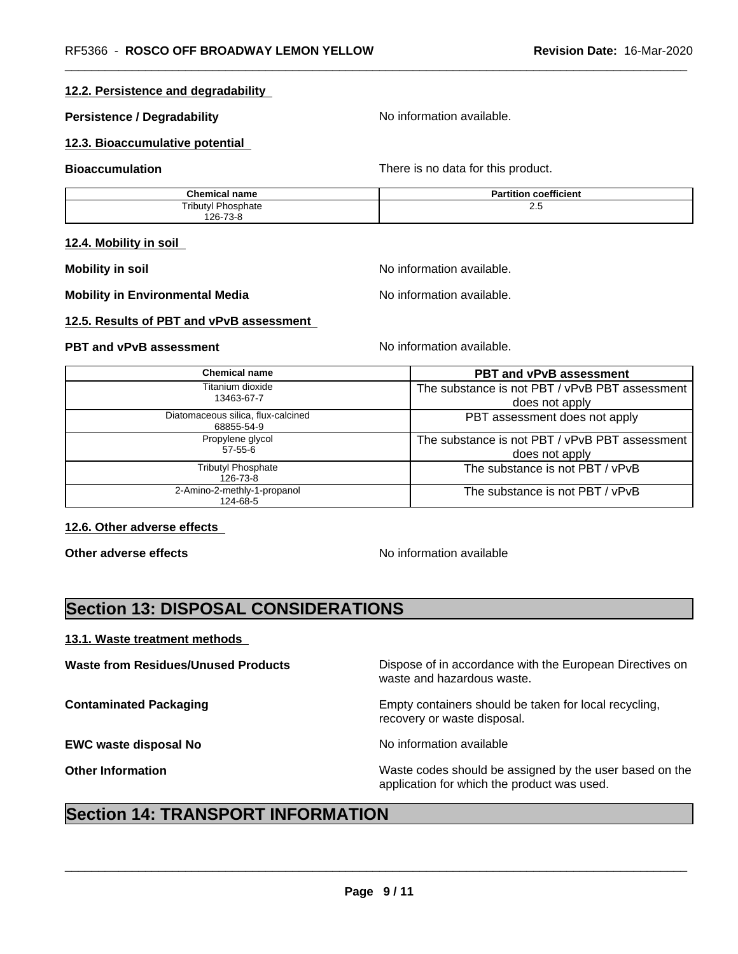### **12.2. Persistence and degradability**

#### **Persistence / Degradability** No information available.

#### **12.3. Bioaccumulative potential**

**Bioaccumulation Bioaccumulation There is no data for this product.** 

| <b>Chemical name</b>        | coefficient<br>הם<br>artition. |
|-----------------------------|--------------------------------|
| Tributyl.<br>Phosphate<br>. | د.ء                            |
| 126-73-8                    |                                |

#### **12.4. Mobility in soil**

**Mobility** in soil **Mobility** in soil

**Mobility in Environmental Media** Noinformation available.

#### **12.5. Results of PBT and vPvB assessment**

**PBT and vPvB assessment**  $\blacksquare$  No information available.

| <b>Chemical name</b>                             | <b>PBT and vPvB assessment</b>                                   |
|--------------------------------------------------|------------------------------------------------------------------|
| Titanium dioxide<br>13463-67-7                   | The substance is not PBT / vPvB PBT assessment<br>does not apply |
| Diatomaceous silica, flux-calcined<br>68855-54-9 | PBT assessment does not apply                                    |
| Propylene glycol<br>$57 - 55 - 6$                | The substance is not PBT / vPvB PBT assessment<br>does not apply |
| <b>Tributyl Phosphate</b><br>126-73-8            | The substance is not PBT / vPvB                                  |
| 2-Amino-2-methly-1-propanol<br>124-68-5          | The substance is not PBT / vPvB                                  |

#### **12.6. Other adverse effects**

**Other adverse effects** No information available

## **Section 13: DISPOSAL CONSIDERATIONS**

#### **13.1. Waste treatment methods**

| <b>Waste from Residues/Unused Products</b> | Dispose of in accordance with the European Directives on<br>waste and hazardous waste.                 |
|--------------------------------------------|--------------------------------------------------------------------------------------------------------|
| <b>Contaminated Packaging</b>              | Empty containers should be taken for local recycling,<br>recovery or waste disposal.                   |
| <b>EWC waste disposal No</b>               | No information available                                                                               |
| <b>Other Information</b>                   | Waste codes should be assigned by the user based on the<br>application for which the product was used. |

# **Section 14: TRANSPORT INFORMATION**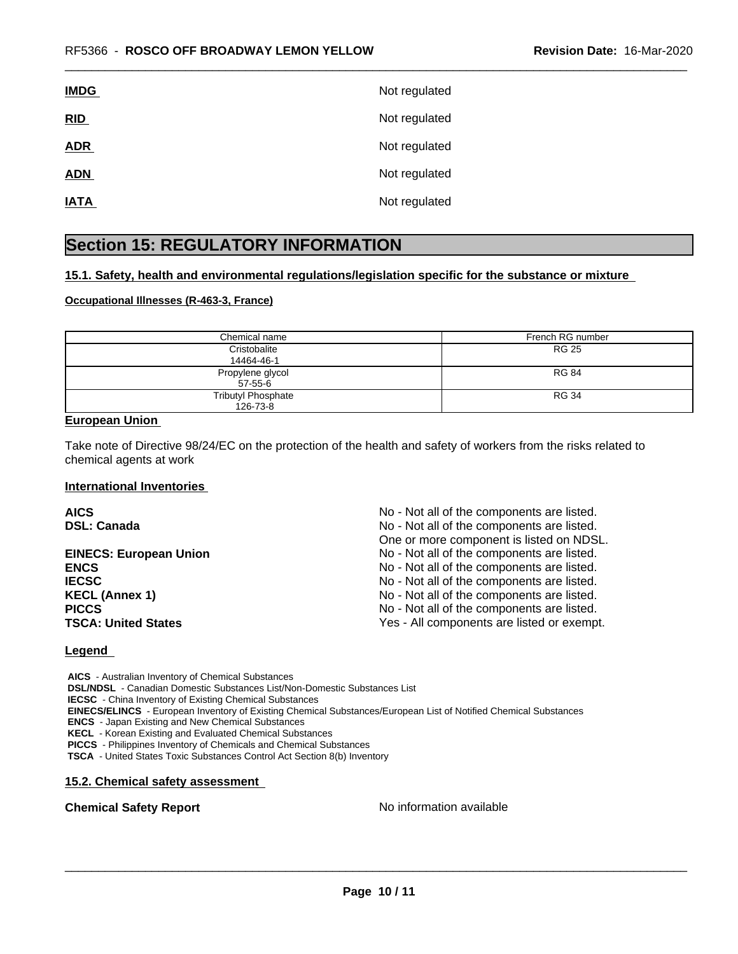| <b>IMDG</b> | Not regulated |
|-------------|---------------|
| RID         | Not regulated |
| <b>ADR</b>  | Not regulated |
| <b>ADN</b>  | Not regulated |
| <b>IATA</b> | Not regulated |

## **Section 15: REGULATORY INFORMATION**

#### **15.1. Safety, health and environmental regulations/legislation specific for the substance or mixture**

#### **Occupational Illnesses (R-463-3, France)**

| Chemical name             | French RG number |
|---------------------------|------------------|
| Cristobalite              | RG 25            |
| 14464-46-1                |                  |
| Propylene glycol          | <b>RG 84</b>     |
| 57-55-6                   |                  |
| <b>Tributyl Phosphate</b> | <b>RG 34</b>     |
| 126-73-8                  |                  |

#### **European Union**

Take note of Directive 98/24/EC on the protection of the health and safety of workers from the risks related to chemical agents at work

#### **International Inventories**

| <b>AICS</b>                   | No - Not all of the components are listed. |
|-------------------------------|--------------------------------------------|
| <b>DSL: Canada</b>            | No - Not all of the components are listed. |
|                               | One or more component is listed on NDSL.   |
| <b>EINECS: European Union</b> | No - Not all of the components are listed. |
| <b>ENCS</b>                   | No - Not all of the components are listed. |
| <b>IECSC</b>                  | No - Not all of the components are listed. |
| <b>KECL (Annex 1)</b>         | No - Not all of the components are listed. |
| <b>PICCS</b>                  | No - Not all of the components are listed. |
| <b>TSCA: United States</b>    | Yes - All components are listed or exempt. |

#### **Legend**

 **AICS** - Australian Inventory of Chemical Substances  **DSL/NDSL** - Canadian Domestic Substances List/Non-Domestic Substances List  **IECSC** - China Inventory of Existing Chemical Substances  **EINECS/ELINCS** - European Inventory of Existing Chemical Substances/European List of Notified Chemical Substances  **ENCS** - Japan Existing and New Chemical Substances  **KECL** - Korean Existing and Evaluated Chemical Substances

 **PICCS** - Philippines Inventory of Chemicals and Chemical Substances

 **TSCA** - United States Toxic Substances Control Act Section 8(b) Inventory

#### **15.2. Chemical safety assessment**

**Chemical Safety Report** Noinformation available